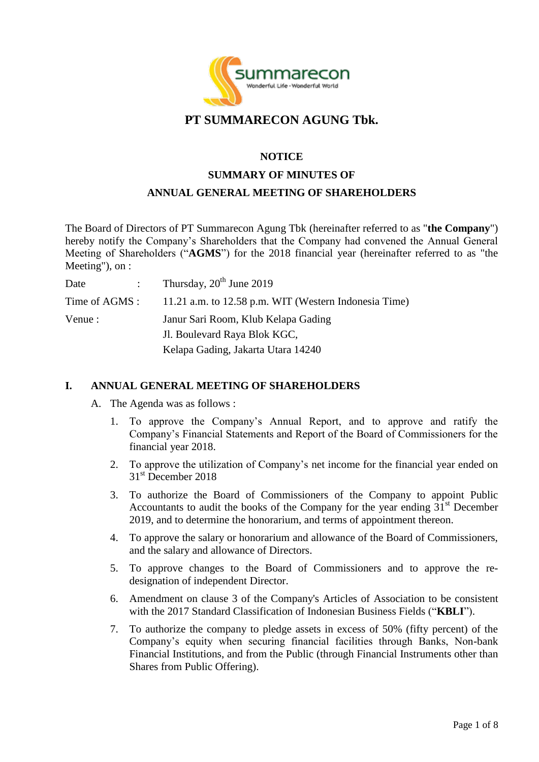

# **PT SUMMARECON AGUNG Tbk.**

#### **NOTICE**

# **SUMMARY OF MINUTES OF ANNUAL GENERAL MEETING OF SHAREHOLDERS**

The Board of Directors of PT Summarecon Agung Tbk (hereinafter referred to as "**the Company**") hereby notify the Company's Shareholders that the Company had convened the Annual General Meeting of Shareholders ("**AGMS**") for the 2018 financial year (hereinafter referred to as "the Meeting"), on :

| Date    | Thursday, $20^{th}$ June 2019                                        |
|---------|----------------------------------------------------------------------|
|         | Time of AGMS : 11.21 a.m. to 12.58 p.m. WIT (Western Indonesia Time) |
| Venue : | Janur Sari Room, Klub Kelapa Gading                                  |
|         | Jl. Boulevard Raya Blok KGC,                                         |
|         | Kelapa Gading, Jakarta Utara 14240                                   |

#### **I. ANNUAL GENERAL MEETING OF SHAREHOLDERS**

- A. The Agenda was as follows :
	- 1. To approve the Company's Annual Report, and to approve and ratify the Company's Financial Statements and Report of the Board of Commissioners for the financial year 2018.
	- 2. To approve the utilization of Company's net income for the financial year ended on 31<sup>st</sup> December 2018
	- 3. To authorize the Board of Commissioners of the Company to appoint Public Accountants to audit the books of the Company for the year ending  $31<sup>st</sup>$  December 2019, and to determine the honorarium, and terms of appointment thereon.
	- 4. To approve the salary or honorarium and allowance of the Board of Commissioners, and the salary and allowance of Directors.
	- 5. To approve changes to the Board of Commissioners and to approve the redesignation of independent Director.
	- 6. Amendment on clause 3 of the Company's Articles of Association to be consistent with the 2017 Standard Classification of Indonesian Business Fields ("**KBLI**").
	- 7. To authorize the company to pledge assets in excess of 50% (fifty percent) of the Company's equity when securing financial facilities through Banks, Non-bank Financial Institutions, and from the Public (through Financial Instruments other than Shares from Public Offering).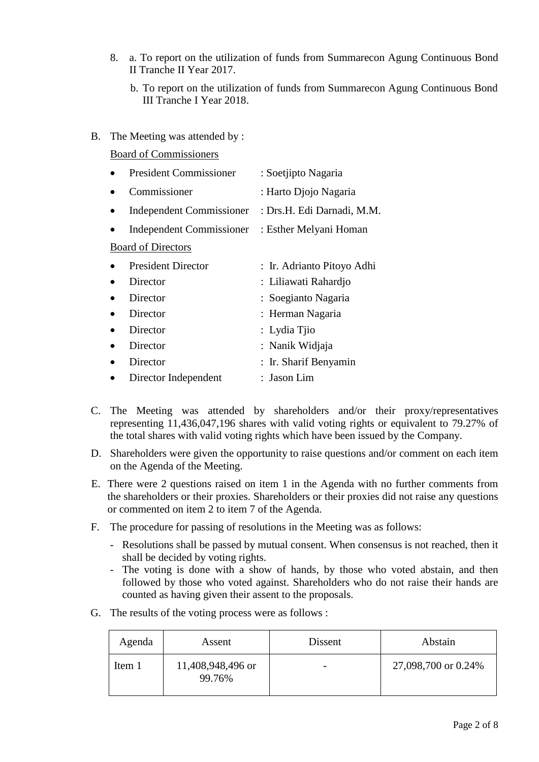- 8. a. To report on the utilization of funds from Summarecon Agung Continuous Bond II Tranche II Year 2017.
	- b. To report on the utilization of funds from Summarecon Agung Continuous Bond III Tranche I Year 2018.
- B. The Meeting was attended by :

Board of Commissioners

| <b>President Commissioner</b> | : Soetjipto Nagaria        |
|-------------------------------|----------------------------|
| Commissioner                  | : Harto Djojo Nagaria      |
| Independent Commissioner      | : Drs.H. Edi Darnadi, M.M. |
| Independent Commissioner      | : Esther Melyani Homan     |
| <b>Board of Directors</b>     |                            |
| <b>President Director</b>     | : Ir. Adrianto Pitoyo Adhi |
| Director                      | : Liliawati Rahardjo       |
| Director                      | : Soegianto Nagaria        |
| Director                      | : Herman Nagaria           |
| Director                      | : Lydia Tjio               |
| Director                      | : Nanik Widjaja            |
| Director                      | : Ir. Sharif Benyamin      |
| Director Independent          | : Jason Lim                |

- C. The Meeting was attended by shareholders and/or their proxy/representatives representing 11,436,047,196 shares with valid voting rights or equivalent to 79.27% of the total shares with valid voting rights which have been issued by the Company.
- D. Shareholders were given the opportunity to raise questions and/or comment on each item on the Agenda of the Meeting.
- E. There were 2 questions raised on item 1 in the Agenda with no further comments from the shareholders or their proxies. Shareholders or their proxies did not raise any questions or commented on item 2 to item 7 of the Agenda.
- F. The procedure for passing of resolutions in the Meeting was as follows:
	- Resolutions shall be passed by mutual consent. When consensus is not reached, then it shall be decided by voting rights.
	- The voting is done with a show of hands, by those who voted abstain, and then followed by those who voted against. Shareholders who do not raise their hands are counted as having given their assent to the proposals.
- G. The results of the voting process were as follows :

| Agenda | Assent                      | Dissent | Abstain             |
|--------|-----------------------------|---------|---------------------|
| Item 1 | 11,408,948,496 or<br>99.76% |         | 27,098,700 or 0.24% |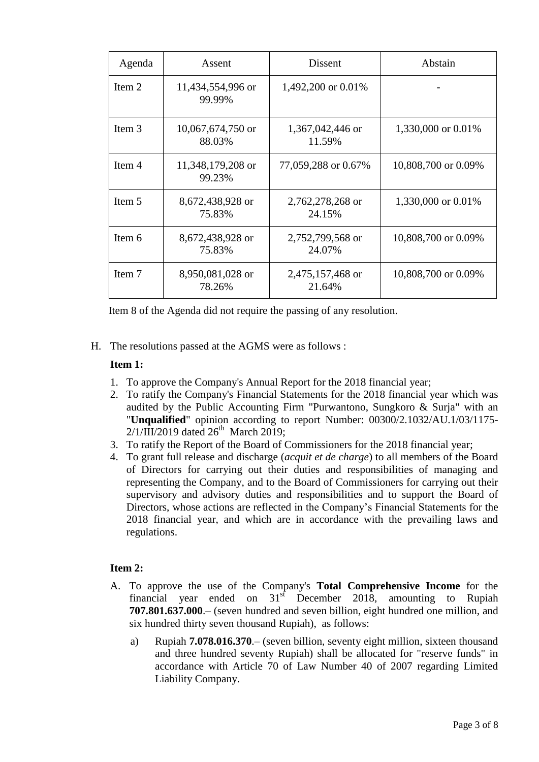| Agenda | Assent                      | <b>Dissent</b>             | Abstain             |
|--------|-----------------------------|----------------------------|---------------------|
| Item 2 | 11,434,554,996 or<br>99.99% | 1,492,200 or 0.01%         |                     |
| Item 3 | 10,067,674,750 or<br>88.03% | 1,367,042,446 or<br>11.59% | 1,330,000 or 0.01%  |
| Item 4 | 11,348,179,208 or<br>99.23% | 77,059,288 or 0.67%        | 10,808,700 or 0.09% |
| Item 5 | 8,672,438,928 or<br>75.83%  | 2,762,278,268 or<br>24.15% | 1,330,000 or 0.01%  |
| Item 6 | 8,672,438,928 or<br>75.83%  | 2,752,799,568 or<br>24.07% | 10,808,700 or 0.09% |
| Item 7 | 8,950,081,028 or<br>78.26%  | 2,475,157,468 or<br>21.64% | 10,808,700 or 0.09% |

Item 8 of the Agenda did not require the passing of any resolution.

H. The resolutions passed at the AGMS were as follows :

# **Item 1:**

- 1. To approve the Company's Annual Report for the 2018 financial year;
- 2. To ratify the Company's Financial Statements for the 2018 financial year which was audited by the Public Accounting Firm "Purwantono, Sungkoro & Surja" with an "**Unqualified**" opinion according to report Number: 00300/2.1032/AU.1/03/1175-  $2/1/\overline{III}/2019$  dated  $26^{\text{th}}$  March 2019;
- 3. To ratify the Report of the Board of Commissioners for the 2018 financial year;
- 4. To grant full release and discharge (*acquit et de charge*) to all members of the Board of Directors for carrying out their duties and responsibilities of managing and representing the Company, and to the Board of Commissioners for carrying out their supervisory and advisory duties and responsibilities and to support the Board of Directors, whose actions are reflected in the Company's Financial Statements for the 2018 financial year, and which are in accordance with the prevailing laws and regulations.

# **Item 2:**

- A. To approve the use of the Company's **Total Comprehensive Income** for the financial year ended on  $31<sup>st</sup>$  December 2018, amounting to Rupiah **707.801.637.000**.– (seven hundred and seven billion, eight hundred one million, and six hundred thirty seven thousand Rupiah), as follows:
	- a) Rupiah **7.078.016.370**.– (seven billion, seventy eight million, sixteen thousand and three hundred seventy Rupiah) shall be allocated for "reserve funds" in accordance with Article 70 of Law Number 40 of 2007 regarding Limited Liability Company.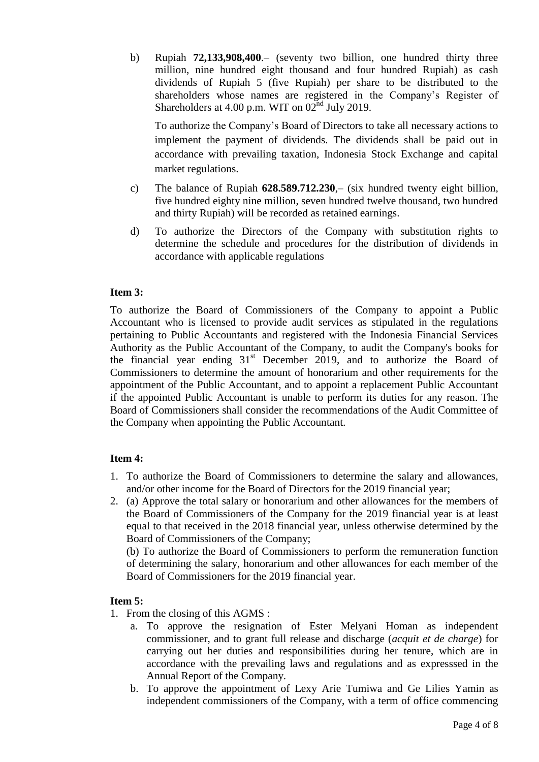b) Rupiah **72,133,908,400**.– (seventy two billion, one hundred thirty three million, nine hundred eight thousand and four hundred Rupiah) as cash dividends of Rupiah 5 (five Rupiah) per share to be distributed to the shareholders whose names are registered in the Company's Register of Shareholders at 4.00 p.m. WIT on  $02^{nd}$  July 2019.

To authorize the Company's Board of Directors to take all necessary actions to implement the payment of dividends. The dividends shall be paid out in accordance with prevailing taxation, Indonesia Stock Exchange and capital market regulations.

- c) The balance of Rupiah **628.589.712.230**,– (six hundred twenty eight billion, five hundred eighty nine million, seven hundred twelve thousand, two hundred and thirty Rupiah) will be recorded as retained earnings.
- d) To authorize the Directors of the Company with substitution rights to determine the schedule and procedures for the distribution of dividends in accordance with applicable regulations

#### **Item 3:**

To authorize the Board of Commissioners of the Company to appoint a Public Accountant who is licensed to provide audit services as stipulated in the regulations pertaining to Public Accountants and registered with the Indonesia Financial Services Authority as the Public Accountant of the Company, to audit the Company's books for the financial year ending  $31<sup>st</sup>$  December 2019, and to authorize the Board of Commissioners to determine the amount of honorarium and other requirements for the appointment of the Public Accountant, and to appoint a replacement Public Accountant if the appointed Public Accountant is unable to perform its duties for any reason. The Board of Commissioners shall consider the recommendations of the Audit Committee of the Company when appointing the Public Accountant.

# **Item 4:**

- 1. To authorize the Board of Commissioners to determine the salary and allowances, and/or other income for the Board of Directors for the 2019 financial year;
- 2. (a) Approve the total salary or honorarium and other allowances for the members of the Board of Commissioners of the Company for the 2019 financial year is at least equal to that received in the 2018 financial year, unless otherwise determined by the Board of Commissioners of the Company;

(b) To authorize the Board of Commissioners to perform the remuneration function of determining the salary, honorarium and other allowances for each member of the Board of Commissioners for the 2019 financial year.

#### **Item 5:**

- 1. From the closing of this AGMS :
	- a. To approve the resignation of Ester Melyani Homan as independent commissioner, and to grant full release and discharge (*acquit et de charge*) for carrying out her duties and responsibilities during her tenure, which are in accordance with the prevailing laws and regulations and as expresssed in the Annual Report of the Company.
	- b. To approve the appointment of Lexy Arie Tumiwa and Ge Lilies Yamin as independent commissioners of the Company, with a term of office commencing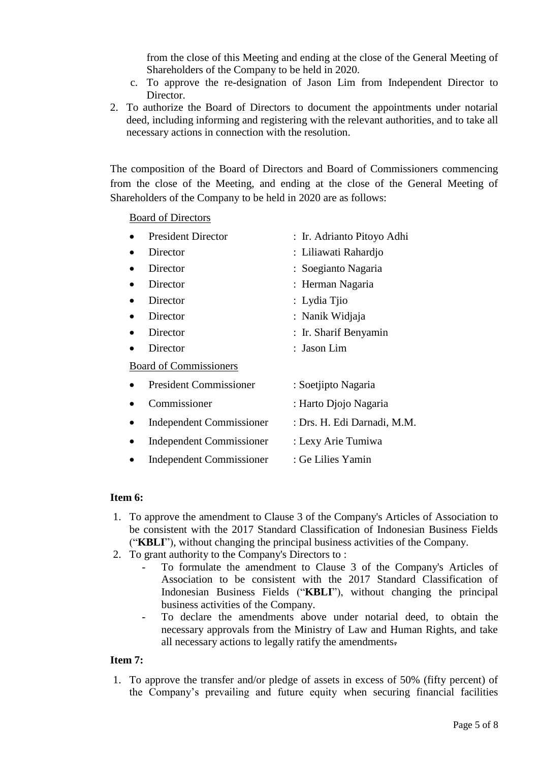from the close of this Meeting and ending at the close of the General Meeting of Shareholders of the Company to be held in 2020.

- c. To approve the re-designation of Jason Lim from Independent Director to Director.
- 2. To authorize the Board of Directors to document the appointments under notarial deed, including informing and registering with the relevant authorities, and to take all necessary actions in connection with the resolution.

The composition of the Board of Directors and Board of Commissioners commencing from the close of the Meeting, and ending at the close of the General Meeting of Shareholders of the Company to be held in 2020 are as follows:

Board of Directors

|           | <b>President Director</b>       | : Ir. Adrianto Pitoyo Adhi  |
|-----------|---------------------------------|-----------------------------|
|           | Director                        | : Liliawati Rahardjo        |
|           | Director                        | : Soegianto Nagaria         |
|           | Director                        | : Herman Nagaria            |
|           | Director                        | : Lydia Tjio                |
|           | Director                        | : Nanik Widjaja             |
| $\bullet$ | Director                        | : Ir. Sharif Benyamin       |
|           | Director                        | : Jason Lim                 |
|           | <b>Board of Commissioners</b>   |                             |
|           | <b>President Commissioner</b>   | : Soetjipto Nagaria         |
|           | Commissioner                    | : Harto Djojo Nagaria       |
|           | <b>Independent Commissioner</b> | : Drs. H. Edi Darnadi, M.M. |
|           | <b>Independent Commissioner</b> | : Lexy Arie Tumiwa          |
|           | <b>Independent Commissioner</b> | : Ge Lilies Yamin           |

#### **Item 6:**

- 1. To approve the amendment to Clause 3 of the Company's Articles of Association to be consistent with the 2017 Standard Classification of Indonesian Business Fields ("**KBLI**"), without changing the principal business activities of the Company.
- 2. To grant authority to the Company's Directors to :
	- To formulate the amendment to Clause 3 of the Company's Articles of Association to be consistent with the 2017 Standard Classification of Indonesian Business Fields ("**KBLI**"), without changing the principal business activities of the Company.
	- To declare the amendments above under notarial deed, to obtain the necessary approvals from the Ministry of Law and Human Rights, and take all necessary actions to legally ratify the amendments.

# **Item 7:**

1. To approve the transfer and/or pledge of assets in excess of 50% (fifty percent) of the Company's prevailing and future equity when securing financial facilities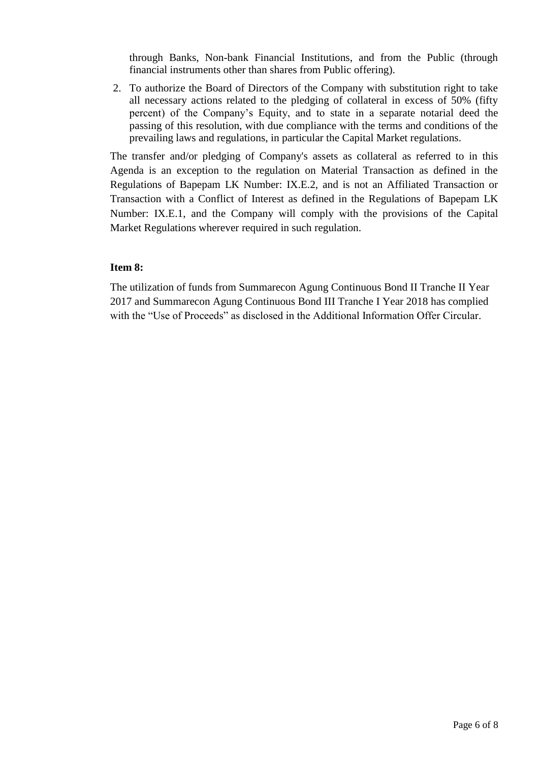through Banks, Non-bank Financial Institutions, and from the Public (through financial instruments other than shares from Public offering).

2. To authorize the Board of Directors of the Company with substitution right to take all necessary actions related to the pledging of collateral in excess of 50% (fifty percent) of the Company's Equity, and to state in a separate notarial deed the passing of this resolution, with due compliance with the terms and conditions of the prevailing laws and regulations, in particular the Capital Market regulations.

The transfer and/or pledging of Company's assets as collateral as referred to in this Agenda is an exception to the regulation on Material Transaction as defined in the Regulations of Bapepam LK Number: IX.E.2, and is not an Affiliated Transaction or Transaction with a Conflict of Interest as defined in the Regulations of Bapepam LK Number: IX.E.1, and the Company will comply with the provisions of the Capital Market Regulations wherever required in such regulation.

## **Item 8:**

The utilization of funds from Summarecon Agung Continuous Bond II Tranche II Year 2017 and Summarecon Agung Continuous Bond III Tranche I Year 2018 has complied with the "Use of Proceeds" as disclosed in the Additional Information Offer Circular.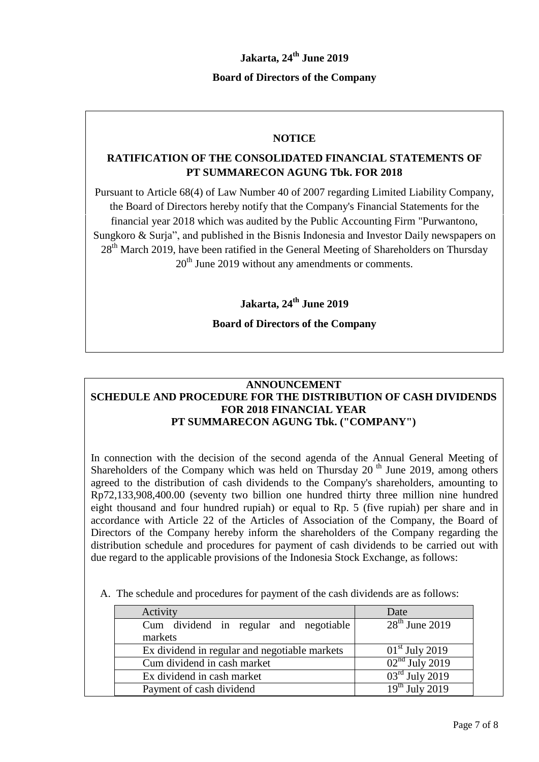# **Jakarta, 24th June 2019**

## **Board of Directors of the Company**

## **NOTICE**

# **RATIFICATION OF THE CONSOLIDATED FINANCIAL STATEMENTS OF PT SUMMARECON AGUNG Tbk. FOR 2018**

Pursuant to Article 68(4) of Law Number 40 of 2007 regarding Limited Liability Company, the Board of Directors hereby notify that the Company's Financial Statements for the financial year 2018 which was audited by the Public Accounting Firm "Purwantono, Sungkoro & Surja", and published in the Bisnis Indonesia and Investor Daily newspapers on 28<sup>th</sup> March 2019, have been ratified in the General Meeting of Shareholders on Thursday  $20<sup>th</sup>$  June 2019 without any amendments or comments.

**Jakarta, 24th June 2019**

## **Board of Directors of the Company**

#### **ANNOUNCEMENT SCHEDULE AND PROCEDURE FOR THE DISTRIBUTION OF CASH DIVIDENDS FOR 2018 FINANCIAL YEAR PT SUMMARECON AGUNG Tbk. ("COMPANY")**

In connection with the decision of the second agenda of the Annual General Meeting of Shareholders of the Company which was held on Thursday  $20<sup>th</sup>$  June 2019, among others agreed to the distribution of cash dividends to the Company's shareholders, amounting to Rp72,133,908,400.00 (seventy two billion one hundred thirty three million nine hundred eight thousand and four hundred rupiah) or equal to Rp. 5 (five rupiah) per share and in accordance with Article 22 of the Articles of Association of the Company, the Board of Directors of the Company hereby inform the shareholders of the Company regarding the distribution schedule and procedures for payment of cash dividends to be carried out with due regard to the applicable provisions of the Indonesia Stock Exchange, as follows:

A. The schedule and procedures for payment of the cash dividends are as follows:

| Activity                                          | Date             |
|---------------------------------------------------|------------------|
| Cum dividend in regular and negotiable<br>markets | $28th$ June 2019 |
| Ex dividend in regular and negotiable markets     | $01st$ July 2019 |
| Cum dividend in cash market                       | $02nd$ July 2019 |
| Ex dividend in cash market                        | $03rd$ July 2019 |
| Payment of cash dividend                          | $19th$ July 2019 |